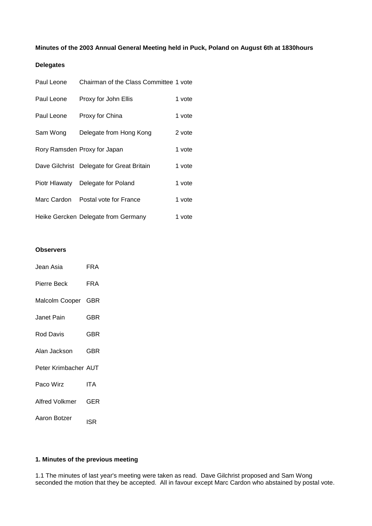# **Minutes of the 2003 Annual General Meeting held in Puck, Poland on August 6th at 1830hours**

# **Delegates**

| Paul Leone | Chairman of the Class Committee 1 vote    |        |
|------------|-------------------------------------------|--------|
| Paul Leone | Proxy for John Ellis                      | 1 vote |
| Paul Leone | Proxy for China                           | 1 vote |
| Sam Wong   | Delegate from Hong Kong                   | 2 vote |
|            | Rory Ramsden Proxy for Japan              | 1 vote |
|            | Dave Gilchrist Delegate for Great Britain | 1 vote |
|            | Piotr Hlawaty Delegate for Poland         | 1 vote |
|            | Marc Cardon Postal vote for France        | 1 vote |
|            | Heike Gercken Delegate from Germany       | 1 vote |

# **Observers**

| Jean Asia            | FRA        |
|----------------------|------------|
| Pierre Beck          | FRA        |
| Malcolm Cooper       | <b>GBR</b> |
| Janet Pain           | GBR        |
| <b>Rod Davis</b>     | <b>GBR</b> |
| Alan Jackson         | GBR        |
| Peter Krimbacher AUT |            |
| Paco Wirz            | ITA        |
| Alfred Volkmer       | GER        |
| Aaron Botzer         | ISR        |

# **1. Minutes of the previous meeting**

1.1 The minutes of last year's meeting were taken as read. Dave Gilchrist proposed and Sam Wong seconded the motion that they be accepted. All in favour except Marc Cardon who abstained by postal vote.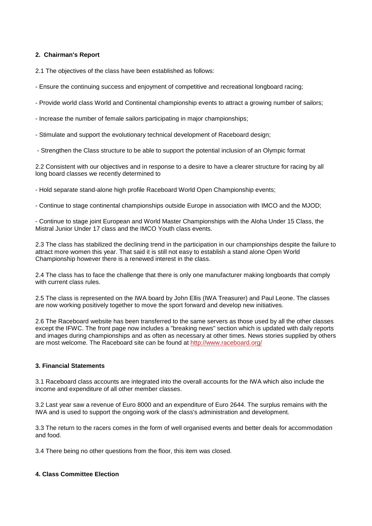# **2. Chairman's Report**

2.1 The objectives of the class have been established as follows:

- Ensure the continuing success and enjoyment of competitive and recreational longboard racing;

- Provide world class World and Continental championship events to attract a growing number of sailors;

- Increase the number of female sailors participating in major championships;

- Stimulate and support the evolutionary technical development of Raceboard design;

- Strengthen the Class structure to be able to support the potential inclusion of an Olympic format

2.2 Consistent with our objectives and in response to a desire to have a clearer structure for racing by all long board classes we recently determined to

- Hold separate stand-alone high profile Raceboard World Open Championship events;

- Continue to stage continental championships outside Europe in association with IMCO and the MJOD;

- Continue to stage joint European and World Master Championships with the Aloha Under 15 Class, the Mistral Junior Under 17 class and the IMCO Youth class events.

2.3 The class has stabilized the declining trend in the participation in our championships despite the failure to attract more women this year. That said it is still not easy to establish a stand alone Open World Championship however there is a renewed interest in the class.

2.4 The class has to face the challenge that there is only one manufacturer making longboards that comply with current class rules.

2.5 The class is represented on the IWA board by John Ellis (IWA Treasurer) and Paul Leone. The classes are now working positively together to move the sport forward and develop new initiatives.

2.6 The Raceboard website has been transferred to the same servers as those used by all the other classes except the IFWC. The front page now includes a "breaking news" section which is updated with daily reports and images during championships and as often as necessary at other times. News stories supplied by others are most welcome. The Raceboard site can be found at [http://www.raceboard.org/](http://www.raceboard.org/page0052v01.htm)

# **3. Financial Statements**

3.1 Raceboard class accounts are integrated into the overall accounts for the IWA which also include the income and expenditure of all other member classes.

3.2 Last year saw a revenue of Euro 8000 and an expenditure of Euro 2644. The surplus remains with the IWA and is used to support the ongoing work of the class's administration and development.

3.3 The return to the racers comes in the form of well organised events and better deals for accommodation and food.

3.4 There being no other questions from the floor, this item was closed.

### **4. Class Committee Election**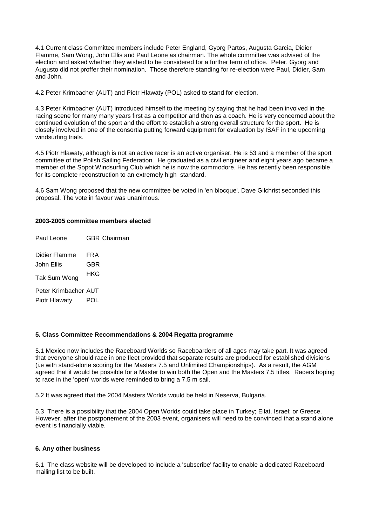4.1 Current class Committee members include Peter England, Gyorg Partos, Augusta Garcia, Didier Flamme, Sam Wong, John Ellis and Paul Leone as chairman. The whole committee was advised of the election and asked whether they wished to be considered for a further term of office. Peter, Gyorg and Augusto did not proffer their nomination. Those therefore standing for re-election were Paul, Didier, Sam and John.

4.2 Peter Krimbacher (AUT) and Piotr Hlawaty (POL) asked to stand for election.

4.3 Peter Krimbacher (AUT) introduced himself to the meeting by saying that he had been involved in the racing scene for many many years first as a competitor and then as a coach. He is very concerned about the continued evolution of the sport and the effort to establish a strong overall structure for the sport. He is closely involved in one of the consortia putting forward equipment for evaluation by ISAF in the upcoming windsurfing trials.

4.5 Piotr Hlawaty, although is not an active racer is an active organiser. He is 53 and a member of the sport committee of the Polish Sailing Federation. He graduated as a civil engineer and eight years ago became a member of the Sopot Windsurfing Club which he is now the commodore. He has recently been responsible for its complete reconstruction to an extremely high standard.

4.6 Sam Wong proposed that the new committee be voted in 'en blocque'. Dave Gilchrist seconded this proposal. The vote in favour was unanimous.

### **2003-2005 committee members elected**

Paul Leone GBR Chairman Didier Flamme FRA John Ellis GBR Tak Sum Wong HKG Peter Krimbacher AUT Piotr Hlawaty POL

### **5. Class Committee Recommendations & 2004 Regatta programme**

5.1 Mexico now includes the Raceboard Worlds so Raceboarders of all ages may take part. It was agreed that everyone should race in one fleet provided that separate results are produced for established divisions (i.e with stand-alone scoring for the Masters 7.5 and Unlimited Championships). As a result, the AGM agreed that it would be possible for a Master to win both the Open and the Masters 7.5 titles. Racers hoping to race in the 'open' worlds were reminded to bring a 7.5 m sail.

5.2 It was agreed that the 2004 Masters Worlds would be held in Neserva, Bulgaria.

5.3 There is a possibility that the 2004 Open Worlds could take place in Turkey; Eilat, Israel; or Greece. However, after the postponement of the 2003 event, organisers will need to be convinced that a stand alone event is financially viable.

### **6. Any other business**

6.1 The class website will be developed to include a 'subscribe' facility to enable a dedicated Raceboard mailing list to be built.